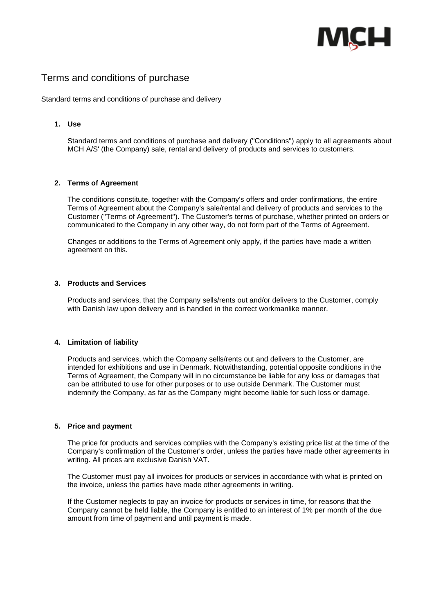

# Terms and conditions of purchase

Standard terms and conditions of purchase and delivery

# **1. Use**

Standard terms and conditions of purchase and delivery ("Conditions") apply to all agreements about MCH A/S' (the Company) sale, rental and delivery of products and services to customers.

## **2. Terms of Agreement**

The conditions constitute, together with the Company's offers and order confirmations, the entire Terms of Agreement about the Company's sale/rental and delivery of products and services to the Customer ("Terms of Agreement"). The Customer's terms of purchase, whether printed on orders or communicated to the Company in any other way, do not form part of the Terms of Agreement.

Changes or additions to the Terms of Agreement only apply, if the parties have made a written agreement on this.

## **3. Products and Services**

Products and services, that the Company sells/rents out and/or delivers to the Customer, comply with Danish law upon delivery and is handled in the correct workmanlike manner.

#### **4. Limitation of liability**

Products and services, which the Company sells/rents out and delivers to the Customer, are intended for exhibitions and use in Denmark. Notwithstanding, potential opposite conditions in the Terms of Agreement, the Company will in no circumstance be liable for any loss or damages that can be attributed to use for other purposes or to use outside Denmark. The Customer must indemnify the Company, as far as the Company might become liable for such loss or damage.

## **5. Price and payment**

The price for products and services complies with the Company's existing price list at the time of the Company's confirmation of the Customer's order, unless the parties have made other agreements in writing. All prices are exclusive Danish VAT.

The Customer must pay all invoices for products or services in accordance with what is printed on the invoice, unless the parties have made other agreements in writing.

If the Customer neglects to pay an invoice for products or services in time, for reasons that the Company cannot be held liable, the Company is entitled to an interest of 1% per month of the due amount from time of payment and until payment is made.